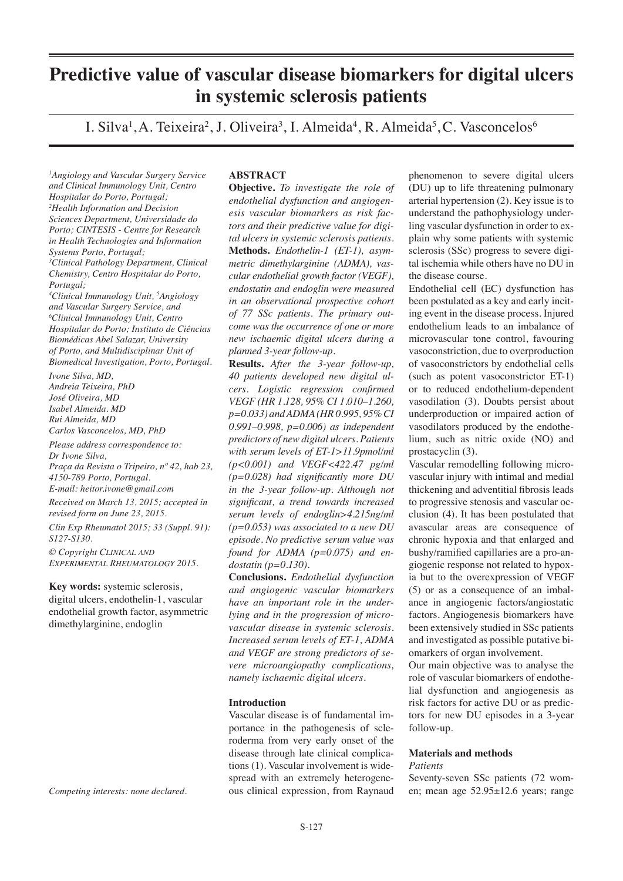# **Predictive value of vascular disease biomarkers for digital ulcers in systemic sclerosis patients**

I. Silva<sup>1</sup>, A. Teixeira<sup>2</sup>, J. Oliveira<sup>3</sup>, I. Almeida<sup>4</sup>, R. Almeida<sup>5</sup>, C. Vasconcelos<sup>6</sup>

*1 Angiology and Vascular Surgery Service and Clinical Immunology Unit, Centro Hospitalar do Porto, Portugal; 2 Health Information and Decision Sciences Department, Universidade do Porto; CINTESIS - Centre for Research in Health Technologies and Information Systems Porto, Portugal; 3 Clinical Pathology Department, Clinical Chemistry, Centro Hospitalar do Porto, Portugal;* 

*4 Clinical Immunology Unit, 5 Angiology and Vascular Surgery Service, and 6 Clinical Immunology Unit, Centro Hospitalar do Porto; Instituto de Ciências Biomédicas Abel Salazar, University of Porto, and Multidisciplinar Unit of Biomedical Investigation, Porto, Portugal.* 

*Ivone Silva, MD, Andreia Teixeira, PhD José Oliveira, MD Isabel Almeida. MD Rui Almeida, MD Carlos Vasconcelos, MD, PhD* 

*Please address correspondence to: Dr Ivone Silva, Praça da Revista o Tripeiro, nº 42, hab 23, 4150-789 Porto, Portugal.*

*E-mail: heitor.ivone@gmail.com*

*Received on March 13, 2015; accepted in revised form on June 23, 2015.*

*Clin Exp Rheumatol 2015; 33 (Suppl. 91): S127-S130.*

*© Copyright Clinical and Experimental Rheumatology 2015.*

**Key words:** systemic sclerosis, digital ulcers, endothelin-1, vascular endothelial growth factor, asymmetric dimethylarginine, endoglin

*Competing interests: none declared.*

# **ABSTRACT**

**Objective.** *To investigate the role of endothelial dysfunction and angiogenesis vascular biomarkers as risk factors and their predictive value for digital ulcers in systemic sclerosis patients.* **Methods.** *Endothelin-1 (ET-1), asymmetric dimethylarginine (ADMA), vascular endothelial growth factor (VEGF), endostatin and endoglin were measured in an observational prospective cohort of 77 SSc patients. The primary outcome was the occurrence of one or more new ischaemic digital ulcers during a planned 3-year follow-up.*

**Results.** *After the 3-year follow-up, 40 patients developed new digital ulcers. Logistic regression confirmed VEGF (HR 1.128, 95% CI 1.010–1.260, p=0.033) and ADMA (HR 0.995, 95% CI 0.991–0.998, p=0.006) as independent predictors of new digital ulcers. Patients with serum levels of ET-1>11.9pmol/ml (p<0.001) and VEGF<422.47 pg/ml (p=0.028) had significantly more DU in the 3-year follow-up. Although not significant, a trend towards increased serum levels of endoglin>4.215ng/ml (p=0.053) was associated to a new DU episode. No predictive serum value was found for ADMA (p=0.075) and endostatin (p=0.130).* 

**Conclusions.** *Endothelial dysfunction and angiogenic vascular biomarkers have an important role in the underlying and in the progression of microvascular disease in systemic sclerosis. Increased serum levels of ET-1, ADMA and VEGF are strong predictors of severe microangiopathy complications, namely ischaemic digital ulcers.* 

# **Introduction**

Vascular disease is of fundamental importance in the pathogenesis of scleroderma from very early onset of the disease through late clinical complications (1). Vascular involvement is widespread with an extremely heterogeneous clinical expression, from Raynaud phenomenon to severe digital ulcers (DU) up to life threatening pulmonary arterial hypertension (2). Key issue is to understand the pathophysiology underling vascular dysfunction in order to explain why some patients with systemic sclerosis (SSc) progress to severe digital ischemia while others have no DU in the disease course.

Endothelial cell (EC) dysfunction has been postulated as a key and early inciting event in the disease process. Injured endothelium leads to an imbalance of microvascular tone control, favouring vasoconstriction, due to overproduction of vasoconstrictors by endothelial cells (such as potent vasoconstrictor ET-1) or to reduced endothelium-dependent vasodilation (3). Doubts persist about underproduction or impaired action of vasodilators produced by the endothelium, such as nitric oxide (NO) and prostacyclin (3).

Vascular remodelling following microvascular injury with intimal and medial thickening and adventitial fibrosis leads to progressive stenosis and vascular occlusion (4). It has been postulated that avascular areas are consequence of chronic hypoxia and that enlarged and bushy/ramified capillaries are a pro-angiogenic response not related to hypoxia but to the overexpression of VEGF (5) or as a consequence of an imbalance in angiogenic factors/angiostatic factors. Angiogenesis biomarkers have been extensively studied in SSc patients and investigated as possible putative biomarkers of organ involvement.

Our main objective was to analyse the role of vascular biomarkers of endothelial dysfunction and angiogenesis as risk factors for active DU or as predictors for new DU episodes in a 3-year follow-up.

# **Materials and methods**

# *Patients*

Seventy-seven SSc patients (72 women; mean age 52.95±12.6 years; range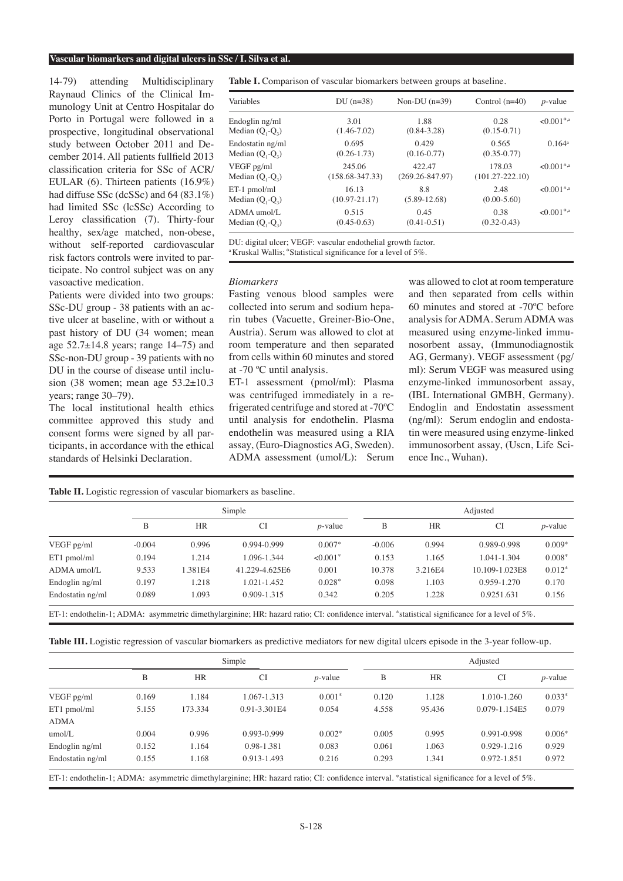#### **Vascular biomarkers and digital ulcers in SSc / I. Silva et al.**

14-79) attending Multidisciplinary Raynaud Clinics of the Clinical Immunology Unit at Centro Hospitalar do Porto in Portugal were followed in a prospective, longitudinal observational study between October 2011 and December 2014. All patients fullfield 2013 classification criteria for SSc of ACR/ EULAR (6). Thirteen patients (16.9%) had diffuse SSc (dcSSc) and 64 (83.1%) had limited SSc (lcSSc) According to Leroy classification (7). Thirty-four healthy, sex/age matched, non-obese, without self-reported cardiovascular risk factors controls were invited to participate. No control subject was on any vasoactive medication.

Patients were divided into two groups: SSc-DU group - 38 patients with an active ulcer at baseline, with or without a past history of DU (34 women; mean age  $52.7\pm14.8$  years; range  $14-75$ ) and SSc-non-DU group - 39 patients with no DU in the course of disease until inclusion (38 women; mean age  $53.2 \pm 10.3$ years; range 30–79).

The local institutional health ethics committee approved this study and consent forms were signed by all participants, in accordance with the ethical standards of Helsinki Declaration.

**Table II.** Logistic regression of vascular biomarkers as baseline.

**Table I.** Comparison of vascular biomarkers between groups at baseline.

| Variables          | $DU(n=38)$          | Non-DU $(n=39)$     | Control $(n=40)$    | $p$ -value               |  |
|--------------------|---------------------|---------------------|---------------------|--------------------------|--|
| Endoglin ng/ml     | 3.01                | 1.88                | 0.28                | $< 0.001$ <sup>*,a</sup> |  |
| Median $(Q_1-Q_3)$ | $(1.46 - 7.02)$     | $(0.84 - 3.28)$     | $(0.15 - 0.71)$     |                          |  |
| Endostatin ng/ml   | 0.695               | 0.429               | 0.565               | $0.164^a$                |  |
| Median $(Q_1-Q_3)$ | $(0.26 - 1.73)$     | $(0.16 - 0.77)$     | $(0.35 - 0.77)$     |                          |  |
| VEGF pg/ml         | 245.06              | 422.47              | 178.03              | $< 0.001$ <sup>*,a</sup> |  |
| Median $(Q_1-Q_3)$ | $(158.68 - 347.33)$ | $(269.26 - 847.97)$ | $(101.27 - 222.10)$ |                          |  |
| ET-1 pmol/ml       | 16.13               | 8.8                 | 2.48                | $< 0.001$ <sup>*,a</sup> |  |
| Median $(Q_1-Q_3)$ | $(10.97 - 21.17)$   | $(5.89 - 12.68)$    | $(0.00 - 5.60)$     |                          |  |
| ADMA umol/L        | 0.515               | 0.45                | 0.38                | $< 0.001$ <sup>*,a</sup> |  |
| Median $(Q_1-Q_3)$ | $(0.45-0.63)$       | $(0.41 - 0.51)$     | $(0.32 - 0.43)$     |                          |  |

DU: digital ulcer; VEGF: vascular endothelial growth factor. <sup>a</sup> Kruskal Wallis; \*Statistical significance for a level of 5%

#### *Biomarkers*

Fasting venous blood samples were collected into serum and sodium heparin tubes (Vacuette, Greiner-Bio-One, Austria). Serum was allowed to clot at room temperature and then separated from cells within 60 minutes and stored at -70 ºC until analysis.

ET-1 assessment (pmol/ml): Plasma was centrifuged immediately in a refrigerated centrifuge and stored at -70ºC until analysis for endothelin. Plasma endothelin was measured using a RIA assay, (Euro-Diagnostics AG, Sweden). ADMA assessment (umol/L): Serum was allowed to clot at room temperature and then separated from cells within 60 minutes and stored at -70ºC before analysis for ADMA. Serum ADMA was measured using enzyme-linked immunosorbent assay, (Immunodiagnostik AG, Germany). VEGF assessment (pg/ ml): Serum VEGF was measured using enzyme-linked immunosorbent assay, (IBL International GMBH, Germany). Endoglin and Endostatin assessment (ng/ml): Serum endoglin and endostatin were measured using enzyme-linked immunosorbent assay, (Uscn, Life Science Inc., Wuhan).

|                  | Simple   |           |                | Adjusted               |          |           |                |            |
|------------------|----------|-----------|----------------|------------------------|----------|-----------|----------------|------------|
|                  | B        | <b>HR</b> | <b>CI</b>      | $p$ -value             | B        | <b>HR</b> | <b>CI</b>      | $p$ -value |
| VEGF pg/ml       | $-0.004$ | 0.996     | 0.994-0.999    | $0.007*$               | $-0.006$ | 0.994     | 0.989-0.998    | $0.009*$   |
| ET1 pmol/ml      | 0.194    | 1.214     | 1.096-1.344    | $< 0.001$ <sup>*</sup> | 0.153    | 1.165     | 1.041-1.304    | $0.008*$   |
| ADMA umol/L      | 9.533    | 1.381E4   | 41.229-4.625E6 | 0.001                  | 10.378   | 3.216E4   | 10.109-1.023E8 | $0.012*$   |
| Endoglin ng/ml   | 0.197    | 1.218     | 1.021-1.452    | $0.028*$               | 0.098    | 1.103     | 0.959-1.270    | 0.170      |
| Endostatin ng/ml | 0.089    | 1.093     | 0.909-1.315    | 0.342                  | 0.205    | 1.228     | 0.9251.631     | 0.156      |

ET-1: endothelin-1; ADMA: asymmetric dimethylarginine; HR: hazard ratio; CI: confidence interval. \*statistical significance for a level of 5%.

**Table III.** Logistic regression of vascular biomarkers as predictive mediators for new digital ulcers episode in the 3-year follow-up.

|                  | Simple |           |              | Adjusted   |       |           |                 |            |
|------------------|--------|-----------|--------------|------------|-------|-----------|-----------------|------------|
|                  | B      | <b>HR</b> | <b>CI</b>    | $p$ -value | B     | <b>HR</b> | <b>CI</b>       | $p$ -value |
| VEGF pg/ml       | 0.169  | 1.184     | 1.067-1.313  | $0.001*$   | 0.120 | 1.128     | 1.010-1.260     | $0.033*$   |
| ET1 pmol/ml      | 5.155  | 173.334   | 0.91-3.301E4 | 0.054      | 4.558 | 95.436    | 0.079-1.154E5   | 0.079      |
| <b>ADMA</b>      |        |           |              |            |       |           |                 |            |
| umol/L           | 0.004  | 0.996     | 0.993-0.999  | $0.002*$   | 0.005 | 0.995     | $0.991 - 0.998$ | $0.006*$   |
| Endoglin ng/ml   | 0.152  | 1.164     | 0.98-1.381   | 0.083      | 0.061 | 1.063     | 0.929-1.216     | 0.929      |
| Endostatin ng/ml | 0.155  | .168      | 0.913-1.493  | 0.216      | 0.293 | 1.341     | 0.972-1.851     | 0.972      |

ET-1: endothelin-1; ADMA: asymmetric dimethylarginine; HR: hazard ratio; CI: confidence interval. \*statistical significance for a level of 5%.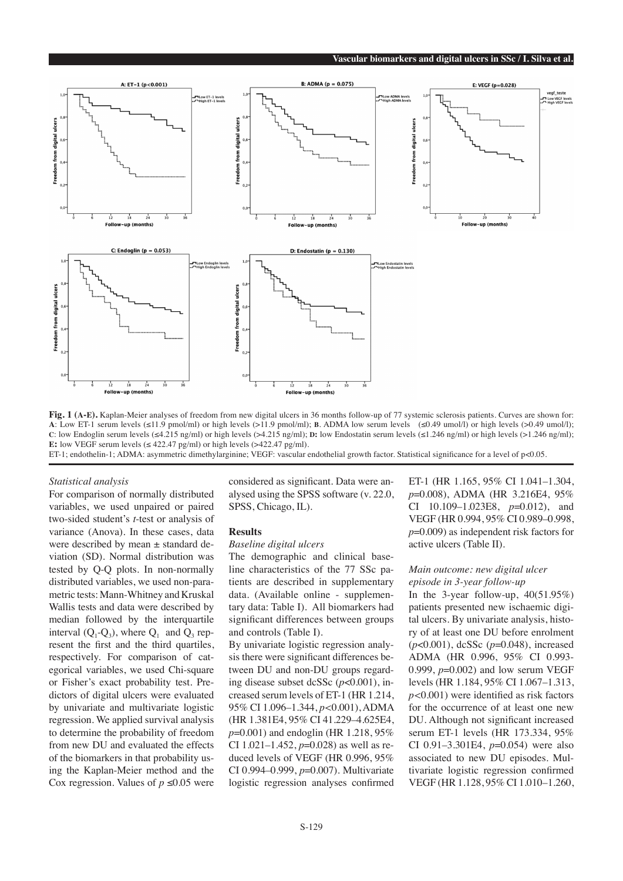

Fig. 1 (A-E). Kaplan-Meier analyses of freedom from new digital ulcers in 36 months follow-up of 77 systemic sclerosis patients. Curves are shown for: **a**: Low ET-1 serum levels (≤11.9 pmol/ml) or high levels (>11.9 pmol/ml); **b**. ADMA low serum levels (≤0.49 umol/l) or high levels (>0.49 umol/l); **c**: low Endoglin serum levels (≤4.215 ng/ml) or high levels (>4.215 ng/ml); **D**: low Endostatin serum levels (≤1.246 ng/ml) or high levels (>1.246 ng/ml); **E:** low VEGF serum levels ( $\leq$  422.47 pg/ml) or high levels ( $>$ 422.47 pg/ml). ET-1; endothelin-1; ADMA: asymmetric dimethylarginine; VEGF: vascular endothelial growth factor. Statistical significance for a level of p<0.05.

#### *Statistical analysis*

For comparison of normally distributed variables, we used unpaired or paired two-sided student's *t*-test or analysis of variance (Anova). In these cases, data were described by mean ± standard deviation (SD). Normal distribution was tested by Q-Q plots. In non-normally distributed variables, we used non-parametric tests: Mann-Whitney and Kruskal Wallis tests and data were described by median followed by the interquartile interval  $(Q_1-Q_3)$ , where  $Q_1$  and  $Q_3$  represent the first and the third quartiles, respectively. For comparison of categorical variables, we used Chi-square or Fisher's exact probability test. Predictors of digital ulcers were evaluated by univariate and multivariate logistic regression. We applied survival analysis to determine the probability of freedom from new DU and evaluated the effects of the biomarkers in that probability using the Kaplan-Meier method and the Cox regression. Values of  $p \le 0.05$  were

considered as significant. Data were analysed using the SPSS software (v. 22.0, SPSS, Chicago, IL).

#### **Results**

# *Baseline digital ulcers*

The demographic and clinical baseline characteristics of the 77 SSc patients are described in supplementary data. (Available online - supplementary data: Table I). All biomarkers had significant differences between groups and controls (Table I).

By univariate logistic regression analysis there were significant differences between DU and non-DU groups regarding disease subset dcSSc (*p*<0.001), increased serum levels of ET-1 (HR 1.214, 95% CI 1.096–1.344, *p<*0.001), ADMA (HR 1.381E4, 95% CI 41.229–4.625E4, *p*=0.001) and endoglin (HR 1.218, 95% CI 1.021–1.452, *p*=0.028) as well as reduced levels of VEGF (HR 0.996, 95% CI 0.994–0.999, *p*=0.007). Multivariate logistic regression analyses confirmed

ET-1 (HR 1.165, 95% CI 1.041–1.304, *p*=0.008), ADMA (HR 3.216E4, 95% CI 10.109–1.023E8, *p*=0.012), and VEGF (HR 0.994, 95% CI 0.989–0.998, *p*=0.009) as independent risk factors for active ulcers (Table II).

# *Main outcome: new digital ulcer episode in 3-year follow-up*

In the 3-year follow-up,  $40(51.95%)$ patients presented new ischaemic digital ulcers. By univariate analysis, history of at least one DU before enrolment (*p*<0.001), dcSSc (*p*=0.048), increased ADMA (HR 0.996, 95% CI 0.993- 0.999, *p*=0.002) and low serum VEGF levels (HR 1.184, 95% CI 1.067–1.313, *p<*0.001) were identified as risk factors for the occurrence of at least one new DU. Although not significant increased serum ET-1 levels (HR 173.334, 95% CI 0.91–3.301E4, *p*=0.054) were also associated to new DU episodes. Multivariate logistic regression confirmed VEGF (HR 1.128, 95% CI 1.010–1.260,